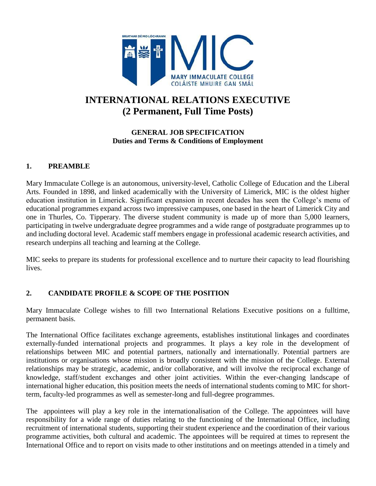

# **INTERNATIONAL RELATIONS EXECUTIVE (2 Permanent, Full Time Posts)**

# **GENERAL JOB SPECIFICATION Duties and Terms & Conditions of Employment**

# **1. PREAMBLE**

Mary Immaculate College is an autonomous, university-level, Catholic College of Education and the Liberal Arts. Founded in 1898, and linked academically with the University of Limerick, MIC is the oldest higher education institution in Limerick. Significant expansion in recent decades has seen the College's menu of educational programmes expand across two impressive campuses, one based in the heart of Limerick City and one in Thurles, Co. Tipperary. The diverse student community is made up of more than 5,000 learners, participating in twelve undergraduate degree programmes and a wide range of postgraduate programmes up to and including doctoral level. Academic staff members engage in professional academic research activities, and research underpins all teaching and learning at the College.

MIC seeks to prepare its students for professional excellence and to nurture their capacity to lead flourishing lives.

# **2. CANDIDATE PROFILE & SCOPE OF THE POSITION**

Mary Immaculate College wishes to fill two International Relations Executive positions on a fulltime, permanent basis.

The International Office facilitates exchange agreements, establishes institutional linkages and coordinates externally-funded international projects and programmes. It plays a key role in the development of relationships between MIC and potential partners, nationally and internationally. Potential partners are institutions or organisations whose mission is broadly consistent with the mission of the College. External relationships may be strategic, academic, and/or collaborative, and will involve the reciprocal exchange of knowledge, staff/student exchanges and other joint activities. Within the ever-changing landscape of international higher education, this position meets the needs of international students coming to MIC for shortterm, faculty-led programmes as well as semester-long and full-degree programmes.

The appointees will play a key role in the internationalisation of the College. The appointees will have responsibility for a wide range of duties relating to the functioning of the International Office, including recruitment of international students, supporting their student experience and the coordination of their various programme activities, both cultural and academic. The appointees will be required at times to represent the International Office and to report on visits made to other institutions and on meetings attended in a timely and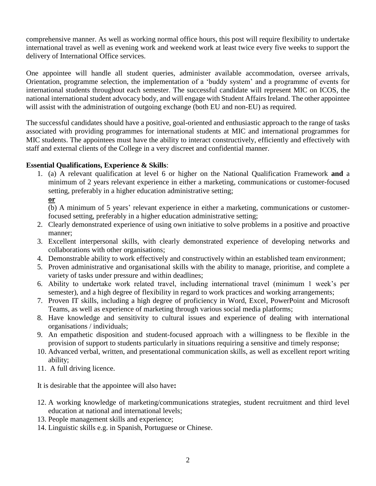comprehensive manner. As well as working normal office hours, this post will require flexibility to undertake international travel as well as evening work and weekend work at least twice every five weeks to support the delivery of International Office services.

One appointee will handle all student queries, administer available accommodation, oversee arrivals, Orientation, programme selection, the implementation of a 'buddy system' and a programme of events for international students throughout each semester. The successful candidate will represent MIC on ICOS, the national international student advocacy body, and will engage with Student Affairs Ireland. The other appointee will assist with the administration of outgoing exchange (both EU and non-EU) as required.

The successful candidates should have a positive, goal-oriented and enthusiastic approach to the range of tasks associated with providing programmes for international students at MIC and international programmes for MIC students. The appointees must have the ability to interact constructively, efficiently and effectively with staff and external clients of the College in a very discreet and confidential manner.

# **Essential Qualifications, Experience & Skills**:

1. (a) A relevant qualification at level 6 or higher on the National Qualification Framework **and** a minimum of 2 years relevant experience in either a marketing, communications or customer-focused setting, preferably in a higher education administrative setting; **or** 

(b) A minimum of 5 years' relevant experience in either a marketing, communications or customerfocused setting, preferably in a higher education administrative setting;

- 2. Clearly demonstrated experience of using own initiative to solve problems in a positive and proactive manner;
- 3. Excellent interpersonal skills, with clearly demonstrated experience of developing networks and collaborations with other organisations;
- 4. Demonstrable ability to work effectively and constructively within an established team environment;
- 5. Proven administrative and organisational skills with the ability to manage, prioritise, and complete a variety of tasks under pressure and within deadlines;
- 6. Ability to undertake work related travel, including international travel (minimum 1 week's per semester), and a high degree of flexibility in regard to work practices and working arrangements;
- 7. Proven IT skills, including a high degree of proficiency in Word, Excel, PowerPoint and Microsoft Teams, as well as experience of marketing through various social media platforms;
- 8. Have knowledge and sensitivity to cultural issues and experience of dealing with international organisations / individuals;
- 9. An empathetic disposition and student-focused approach with a willingness to be flexible in the provision of support to students particularly in situations requiring a sensitive and timely response;
- 10. Advanced verbal, written, and presentational communication skills, as well as excellent report writing ability;
- 11. A full driving licence.

It is desirable that the appointee will also have**:**

- 12. A working knowledge of marketing/communications strategies, student recruitment and third level education at national and international levels;
- 13. People management skills and experience;
- 14. Linguistic skills e.g. in Spanish, Portuguese or Chinese.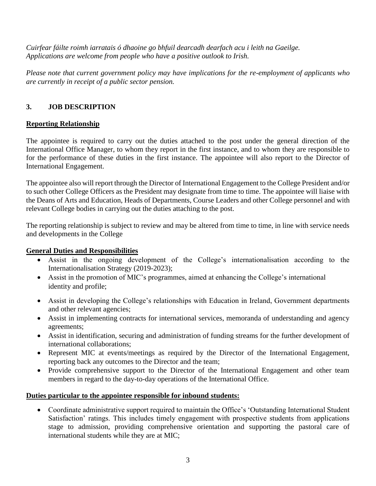*Cuirfear fáilte roimh iarratais ó dhaoine go bhfuil dearcadh dearfach acu i leith na Gaeilge. Applications are welcome from people who have a positive outlook to Irish.*

*Please note that current government policy may have implications for the re-employment of applicants who are currently in receipt of a public sector pension.*

# **3. JOB DESCRIPTION**

# **Reporting Relationship**

The appointee is required to carry out the duties attached to the post under the general direction of the International Office Manager, to whom they report in the first instance, and to whom they are responsible to for the performance of these duties in the first instance. The appointee will also report to the Director of International Engagement.

The appointee also will report through the Director of International Engagement to the College President and/or to such other College Officers as the President may designate from time to time. The appointee will liaise with the Deans of Arts and Education, Heads of Departments, Course Leaders and other College personnel and with relevant College bodies in carrying out the duties attaching to the post.

The reporting relationship is subject to review and may be altered from time to time, in line with service needs and developments in the College

# **General Duties and Responsibilities**

- Assist in the ongoing development of the College's internationalisation according to the Internationalisation Strategy (2019-2023);
- Assist in the promotion of MIC's programmes, aimed at enhancing the College's international identity and profile;
- Assist in developing the College's relationships with Education in Ireland, Government departments and other relevant agencies;
- Assist in implementing contracts for international services, memoranda of understanding and agency agreements;
- Assist in identification, securing and administration of funding streams for the further development of international collaborations;
- Represent MIC at events/meetings as required by the Director of the International Engagement, reporting back any outcomes to the Director and the team;
- Provide comprehensive support to the Director of the International Engagement and other team members in regard to the day-to-day operations of the International Office.

# **Duties particular to the appointee responsible for inbound students:**

• Coordinate administrative support required to maintain the Office's 'Outstanding International Student Satisfaction' ratings. This includes timely engagement with prospective students from applications stage to admission, providing comprehensive orientation and supporting the pastoral care of international students while they are at MIC;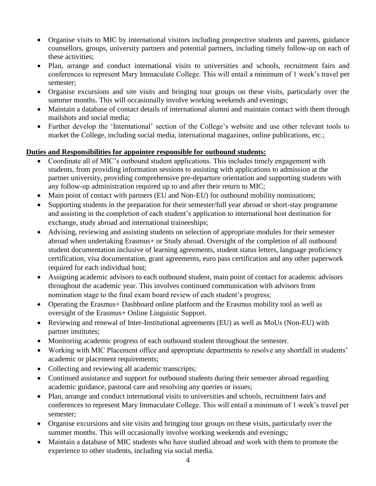- Organise visits to MIC by international visitors including prospective students and parents, guidance counsellors, groups, university partners and potential partners, including timely follow-up on each of these activities;
- Plan, arrange and conduct international visits to universities and schools, recruitment fairs and conferences to represent Mary Immaculate College. This will entail a minimum of 1 week's travel per semester;
- Organise excursions and site visits and bringing tour groups on these visits, particularly over the summer months. This will occasionally involve working weekends and evenings;
- Maintain a database of contact details of international alumni and maintain contact with them through mailshots and social media;
- Further develop the 'International' section of the College's website and use other relevant tools to market the College, including social media, international magazines, online publications, etc.;

# **Duties and Responsibilities for appointee responsible for outbound students:**

- Coordinate all of MIC's outbound student applications. This includes timely engagement with students, from providing information sessions to assisting with applications to admission at the partner university, providing comprehensive pre-departure orientation and supporting students with any follow-up administration required up to and after their return to MIC;
- Main point of contact with partners (EU and Non-EU) for outbound mobility nominations;
- Supporting students in the preparation for their semester/full year abroad or short-stay programme and assisting in the completion of each student's application to international host destination for exchange, study abroad and international traineeships;
- Advising, reviewing and assisting students on selection of appropriate modules for their semester abroad when undertaking Erasmus+ or Study abroad. Oversight of the completion of all outbound student documentation inclusive of learning agreements, student status letters, language proficiency certification, visa documentation, grant agreements, euro pass certification and any other paperwork required for each individual host;
- Assigning academic advisors to each outbound student, main point of contact for academic advisors throughout the academic year. This involves continued communication with advisors from nomination stage to the final exam board review of each student's progress;
- Operating the Erasmus + Dashboard online platform and the Erasmus mobility tool as well as oversight of the Erasmus+ Online Linguistic Support.
- Reviewing and renewal of Inter-Institutional agreements (EU) as well as MoUs (Non-EU) with partner institutes;
- Monitoring academic progress of each outbound student throughout the semester.
- Working with MIC Placement office and appropriate departments to resolve any shortfall in students' academic or placement requirements;
- Collecting and reviewing all academic transcripts;
- Continued assistance and support for outbound students during their semester abroad regarding academic guidance, pastoral care and resolving any queries or issues;
- Plan, arrange and conduct international visits to universities and schools, recruitment fairs and conferences to represent Mary Immaculate College. This will entail a minimum of 1 week's travel per semester;
- Organise excursions and site visits and bringing tour groups on these visits, particularly over the summer months. This will occasionally involve working weekends and evenings;
- Maintain a database of MIC students who have studied abroad and work with them to promote the experience to other students, including via social media.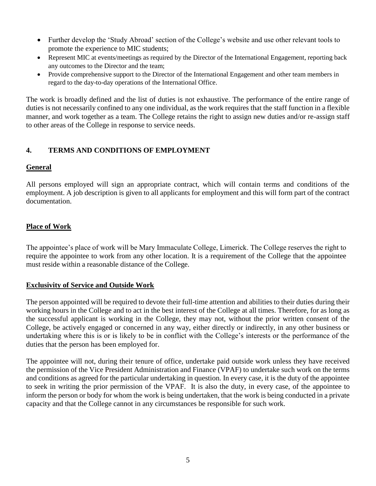- Further develop the 'Study Abroad' section of the College's website and use other relevant tools to promote the experience to MIC students;
- Represent MIC at events/meetings as required by the Director of the International Engagement, reporting back any outcomes to the Director and the team;
- Provide comprehensive support to the Director of the International Engagement and other team members in regard to the day-to-day operations of the International Office.

The work is broadly defined and the list of duties is not exhaustive. The performance of the entire range of duties is not necessarily confined to any one individual, as the work requires that the staff function in a flexible manner, and work together as a team. The College retains the right to assign new duties and/or re-assign staff to other areas of the College in response to service needs.

# **4. TERMS AND CONDITIONS OF EMPLOYMENT**

# **General**

All persons employed will sign an appropriate contract, which will contain terms and conditions of the employment. A job description is given to all applicants for employment and this will form part of the contract documentation.

# **Place of Work**

The appointee's place of work will be Mary Immaculate College, Limerick. The College reserves the right to require the appointee to work from any other location. It is a requirement of the College that the appointee must reside within a reasonable distance of the College.

# **Exclusivity of Service and Outside Work**

The person appointed will be required to devote their full-time attention and abilities to their duties during their working hours in the College and to act in the best interest of the College at all times. Therefore, for as long as the successful applicant is working in the College, they may not, without the prior written consent of the College, be actively engaged or concerned in any way, either directly or indirectly, in any other business or undertaking where this is or is likely to be in conflict with the College's interests or the performance of the duties that the person has been employed for.

The appointee will not, during their tenure of office, undertake paid outside work unless they have received the permission of the Vice President Administration and Finance (VPAF) to undertake such work on the terms and conditions as agreed for the particular undertaking in question. In every case, it is the duty of the appointee to seek in writing the prior permission of the VPAF. It is also the duty, in every case, of the appointee to inform the person or body for whom the work is being undertaken, that the work is being conducted in a private capacity and that the College cannot in any circumstances be responsible for such work.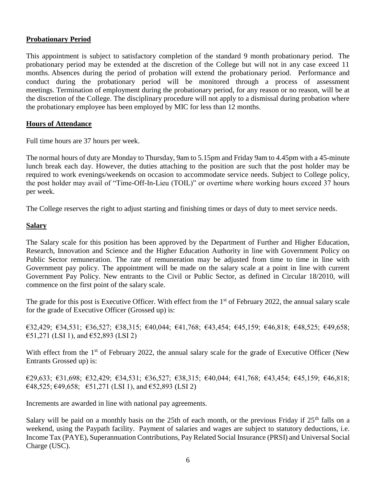#### **Probationary Period**

This appointment is subject to satisfactory completion of the standard 9 month probationary period. The probationary period may be extended at the discretion of the College but will not in any case exceed 11 months. Absences during the period of probation will extend the probationary period. Performance and conduct during the probationary period will be monitored through a process of assessment meetings. Termination of employment during the probationary period, for any reason or no reason, will be at the discretion of the College. The disciplinary procedure will not apply to a dismissal during probation where the probationary employee has been employed by MIC for less than 12 months.

#### **Hours of Attendance**

Full time hours are 37 hours per week.

The normal hours of duty are Monday to Thursday, 9am to 5.15pm and Friday 9am to 4.45pm with a 45-minute lunch break each day. However, the duties attaching to the position are such that the post holder may be required to work evenings/weekends on occasion to accommodate service needs. Subject to College policy, the post holder may avail of "Time-Off-In-Lieu (TOIL)" or overtime where working hours exceed 37 hours per week.

The College reserves the right to adjust starting and finishing times or days of duty to meet service needs.

#### **Salary**

The Salary scale for this position has been approved by the Department of Further and Higher Education, Research, Innovation and Science and the Higher Education Authority in line with Government Policy on Public Sector remuneration. The rate of remuneration may be adjusted from time to time in line with Government pay policy. The appointment will be made on the salary scale at a point in line with current Government Pay Policy. New entrants to the Civil or Public Sector, as defined in Circular 18/2010, will commence on the first point of the salary scale.

The grade for this post is Executive Officer. With effect from the 1<sup>st</sup> of February 2022, the annual salary scale for the grade of Executive Officer (Grossed up) is:

€32,429; €34,531; €36,527; €38,315; €40,044; €41,768; €43,454; €45,159; €46,818; €48,525; €49,658; €51,271 (LSI 1), and €52,893 (LSI 2)

With effect from the 1<sup>st</sup> of February 2022, the annual salary scale for the grade of Executive Officer (New Entrants Grossed up) is:

€29,633; €31,698; €32,429; €34,531; €36,527; €38,315; €40,044; €41,768; €43,454; €45,159; €46,818;  $\epsilon$ 48,525;  $\epsilon$ 49,658;  $\epsilon$ 51,271 (LSI 1), and  $\epsilon$ 52,893 (LSI 2)

Increments are awarded in line with national pay agreements.

Salary will be paid on a monthly basis on the 25th of each month, or the previous Friday if  $25<sup>th</sup>$  falls on a weekend, using the Paypath facility. Payment of salaries and wages are subject to statutory deductions, i.e. Income Tax (PAYE), Superannuation Contributions, Pay Related Social Insurance (PRSI) and Universal Social Charge (USC).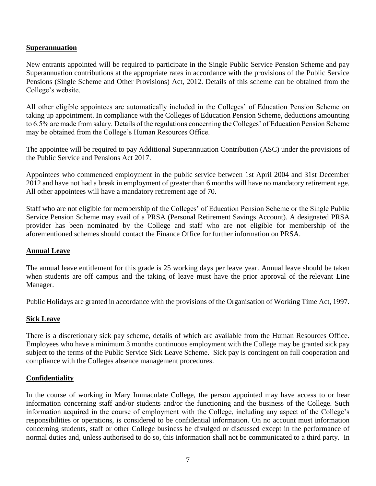#### **Superannuation**

New entrants appointed will be required to participate in the Single Public Service Pension Scheme and pay Superannuation contributions at the appropriate rates in accordance with the provisions of the Public Service Pensions (Single Scheme and Other Provisions) Act, 2012. Details of this scheme can be obtained from the College's website.

All other eligible appointees are automatically included in the Colleges' of Education Pension Scheme on taking up appointment. In compliance with the Colleges of Education Pension Scheme, deductions amounting to 6.5% are made from salary. Details of the regulations concerning the Colleges' of Education Pension Scheme may be obtained from the College's Human Resources Office.

The appointee will be required to pay Additional Superannuation Contribution (ASC) under the provisions of the Public Service and Pensions Act 2017.

Appointees who commenced employment in the public service between 1st April 2004 and 31st December 2012 and have not had a break in employment of greater than 6 months will have no mandatory retirement age. All other appointees will have a mandatory retirement age of 70.

Staff who are not eligible for membership of the Colleges' of Education Pension Scheme or the Single Public Service Pension Scheme may avail of a PRSA (Personal Retirement Savings Account). A designated PRSA provider has been nominated by the College and staff who are not eligible for membership of the aforementioned schemes should contact the Finance Office for further information on PRSA.

# **Annual Leave**

The annual leave entitlement for this grade is 25 working days per leave year. Annual leave should be taken when students are off campus and the taking of leave must have the prior approval of the relevant Line Manager.

Public Holidays are granted in accordance with the provisions of the Organisation of Working Time Act, 1997.

# **Sick Leave**

There is a discretionary sick pay scheme, details of which are available from the Human Resources Office. Employees who have a minimum 3 months continuous employment with the College may be granted sick pay subject to the terms of the Public Service Sick Leave Scheme. Sick pay is contingent on full cooperation and compliance with the Colleges absence management procedures.

# **Confidentiality**

In the course of working in Mary Immaculate College, the person appointed may have access to or hear information concerning staff and/or students and/or the functioning and the business of the College. Such information acquired in the course of employment with the College, including any aspect of the College's responsibilities or operations, is considered to be confidential information. On no account must information concerning students, staff or other College business be divulged or discussed except in the performance of normal duties and, unless authorised to do so, this information shall not be communicated to a third party. In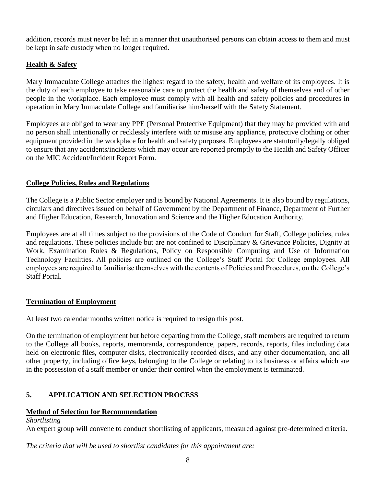addition, records must never be left in a manner that unauthorised persons can obtain access to them and must be kept in safe custody when no longer required.

# **Health & Safety**

Mary Immaculate College attaches the highest regard to the safety, health and welfare of its employees. It is the duty of each employee to take reasonable care to protect the health and safety of themselves and of other people in the workplace. Each employee must comply with all health and safety policies and procedures in operation in Mary Immaculate College and familiarise him/herself with the Safety Statement.

Employees are obliged to wear any PPE (Personal Protective Equipment) that they may be provided with and no person shall intentionally or recklessly interfere with or misuse any appliance, protective clothing or other equipment provided in the workplace for health and safety purposes. Employees are statutorily/legally obliged to ensure that any accidents/incidents which may occur are reported promptly to the Health and Safety Officer on the MIC Accident/Incident Report Form.

# **College Policies, Rules and Regulations**

The College is a Public Sector employer and is bound by National Agreements. It is also bound by regulations, circulars and directives issued on behalf of Government by the Department of Finance, Department of Further and Higher Education, Research, Innovation and Science and the Higher Education Authority.

Employees are at all times subject to the provisions of the Code of Conduct for Staff, College policies, rules and regulations. These policies include but are not confined to Disciplinary & Grievance Policies, Dignity at Work, Examination Rules & Regulations, Policy on Responsible Computing and Use of Information Technology Facilities. All policies are outlined on the College's Staff Portal for College employees. All employees are required to familiarise themselves with the contents of Policies and Procedures, on the College's Staff Portal.

# **Termination of Employment**

At least two calendar months written notice is required to resign this post.

On the termination of employment but before departing from the College, staff members are required to return to the College all books, reports, memoranda, correspondence, papers, records, reports, files including data held on electronic files, computer disks, electronically recorded discs, and any other documentation, and all other property, including office keys, belonging to the College or relating to its business or affairs which are in the possession of a staff member or under their control when the employment is terminated.

# **5. APPLICATION AND SELECTION PROCESS**

# **Method of Selection for Recommendation**

*Shortlisting*

An expert group will convene to conduct shortlisting of applicants, measured against pre-determined criteria.

*The criteria that will be used to shortlist candidates for this appointment are:*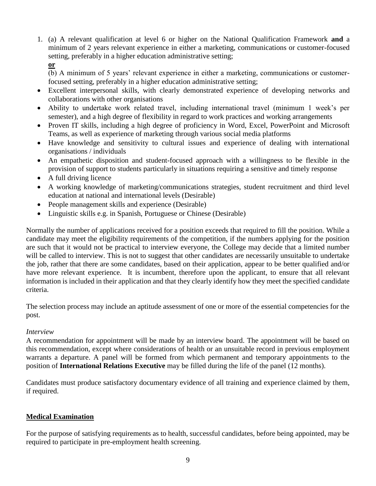- 1. (a) A relevant qualification at level 6 or higher on the National Qualification Framework **and** a minimum of 2 years relevant experience in either a marketing, communications or customer-focused setting, preferably in a higher education administrative setting;
	- **or**

(b) A minimum of 5 years' relevant experience in either a marketing, communications or customerfocused setting, preferably in a higher education administrative setting;

- Excellent interpersonal skills, with clearly demonstrated experience of developing networks and collaborations with other organisations
- Ability to undertake work related travel, including international travel (minimum 1 week's per semester), and a high degree of flexibility in regard to work practices and working arrangements
- Proven IT skills, including a high degree of proficiency in Word, Excel, PowerPoint and Microsoft Teams, as well as experience of marketing through various social media platforms
- Have knowledge and sensitivity to cultural issues and experience of dealing with international organisations / individuals
- An empathetic disposition and student-focused approach with a willingness to be flexible in the provision of support to students particularly in situations requiring a sensitive and timely response
- A full driving licence
- A working knowledge of marketing/communications strategies, student recruitment and third level education at national and international levels (Desirable)
- People management skills and experience (Desirable)
- Linguistic skills e.g. in Spanish, Portuguese or Chinese (Desirable)

Normally the number of applications received for a position exceeds that required to fill the position. While a candidate may meet the eligibility requirements of the competition, if the numbers applying for the position are such that it would not be practical to interview everyone, the College may decide that a limited number will be called to interview. This is not to suggest that other candidates are necessarily unsuitable to undertake the job, rather that there are some candidates, based on their application, appear to be better qualified and/or have more relevant experience. It is incumbent, therefore upon the applicant, to ensure that all relevant information is included in their application and that they clearly identify how they meet the specified candidate criteria.

The selection process may include an aptitude assessment of one or more of the essential competencies for the post.

# *Interview*

A recommendation for appointment will be made by an interview board. The appointment will be based on this recommendation, except where considerations of health or an unsuitable record in previous employment warrants a departure. A panel will be formed from which permanent and temporary appointments to the position of **International Relations Executive** may be filled during the life of the panel (12 months).

Candidates must produce satisfactory documentary evidence of all training and experience claimed by them, if required.

# **Medical Examination**

For the purpose of satisfying requirements as to health, successful candidates, before being appointed, may be required to participate in pre-employment health screening.